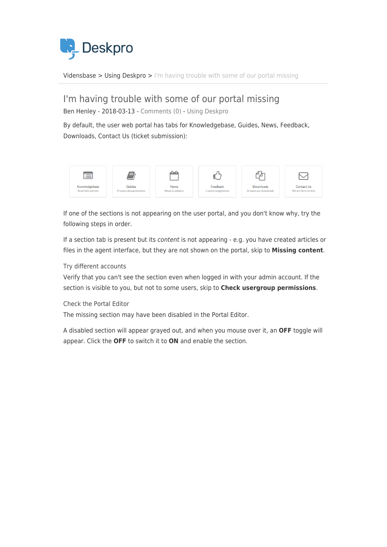

[Vidensbase](https://support.deskpro.com/da/kb) > [Using Deskpro](https://support.deskpro.com/da/kb/using-deskpro) > [I'm having trouble with some of our portal missing](https://support.deskpro.com/da/kb/articles/i-m-having-trouble-with-some-of-our-portal-missing)

# I'm having trouble with some of our portal missing

Ben Henley - 2018-03-13 - [Comments \(0\)](#page--1-0) - [Using Deskpro](https://support.deskpro.com/da/kb/using-deskpro)

By default, the user web portal has tabs for Knowledgebase, Guides, News, Feedback, Downloads, Contact Us (ticket submission):



If one of the sections is not appearing on the user portal, and you don't know why, try the following steps in order.

If a section tab is present but its content is not appearing - e.g. you have created articles or files in the agent interface, but they are not shown on the portal, skip to **Missing content**.

# Try different accounts

Verify that you can't see the section even when logged in with your admin account. If the section is visible to you, but not to some users, skip to **Check usergroup permissions**.

Check the Portal Editor

The missing section may have been disabled in the Portal Editor.

A disabled section will appear grayed out, and when you mouse over it, an **OFF** toggle will appear. Click the **OFF** to switch it to **ON** and enable the section.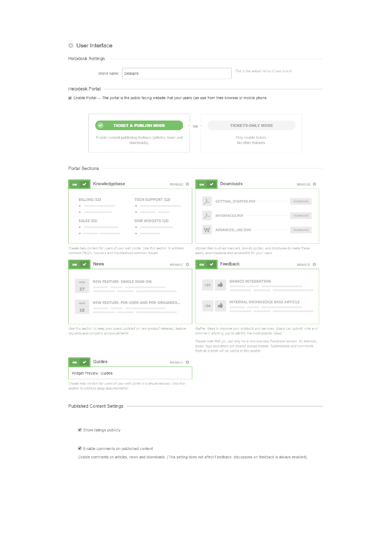#### **User Interface**

| Helpdesk Settings -                                                                                                                     |                           |                                                                                                                                                                                                                 |                     |
|-----------------------------------------------------------------------------------------------------------------------------------------|---------------------------|-----------------------------------------------------------------------------------------------------------------------------------------------------------------------------------------------------------------|---------------------|
| Brand name:<br>Deskpro                                                                                                                  |                           | This is the actual name of your brand.                                                                                                                                                                          |                     |
| Helpdesk Portal -                                                                                                                       |                           |                                                                                                                                                                                                                 |                     |
| ☑ Enable Portal — The portal is the public facing website that your users can use from their browser or mobile phone.                   |                           |                                                                                                                                                                                                                 |                     |
|                                                                                                                                         |                           |                                                                                                                                                                                                                 |                     |
| <b>TICKET &amp; PUBLISH MODE</b>                                                                                                        | OR                        | <b>TICKETS-ONLY MODE</b>                                                                                                                                                                                        |                     |
| Enable content publishing features (articles, news and<br>downloads).                                                                   |                           | Only enable tickets.<br>No other features.                                                                                                                                                                      |                     |
|                                                                                                                                         |                           |                                                                                                                                                                                                                 |                     |
| Portal Sections                                                                                                                         |                           |                                                                                                                                                                                                                 |                     |
|                                                                                                                                         |                           |                                                                                                                                                                                                                 |                     |
| Knowledgebase<br>ON                                                                                                                     | MANAGE <sup>4</sup><br>ON | Downloads                                                                                                                                                                                                       | MANAGE <sup>4</sup> |
| <b>TECH SUPPORT (12)</b><br>BILLING (12)                                                                                                |                           | GETTING_STARTED.PDF                                                                                                                                                                                             | DOWNLOAD            |
| $\overline{\phantom{a}}$                                                                                                                |                           | INTERFACE2.PDF                                                                                                                                                                                                  | DOWNLOAD            |
| <b>SALES (21)</b><br><b>OUR WIDGETS (12)</b><br>a contract of the con-<br>a contract of the contract of                                 |                           |                                                                                                                                                                                                                 | <b>DOWNLOAD</b>     |
| $\overline{\phantom{a}}$                                                                                                                |                           | ADVANCED_USE.DOC-                                                                                                                                                                                               |                     |
| Create help content for users of your web portal. Use this section to address<br>common FAQ's, how-to's and troubleshoot common issues. |                           | Upload files such as manuals, how-to guides, and brochures to make these<br>easily downloadable and accessible for your users.                                                                                  |                     |
| <b>News</b><br>ON                                                                                                                       | MANAGE <sup>4</sup><br>ON | Feedback                                                                                                                                                                                                        | MANAGE <sup>4</sup> |
|                                                                                                                                         |                           |                                                                                                                                                                                                                 |                     |
| NEW FEATURE: SINGLE SIGN-ON<br><b>MAR</b><br>______<br>27                                                                               |                           | <b>WHMCS INTEGRATION</b><br>____                                                                                                                                                                                |                     |
| <u> The Common Common Common Common Common Common Common Common Common Common Common Common Common Common Common Commo</u>              |                           | _____                                                                                                                                                                                                           |                     |
| NEW FEATURE: PER-USER AND PER-ORGANIZA<br>MAR                                                                                           |                           | INTERNAL KNOWLEDGE BASE ARTICLE<br>______                                                                                                                                                                       |                     |
| 18                                                                                                                                      |                           | _______                                                                                                                                                                                                         |                     |
| Use this section to keep your users updated on new product releases, feature                                                            |                           | Gather ideas to improve your products and services. Users can submit, vote and                                                                                                                                  |                     |
| requests and company announcements.                                                                                                     |                           | comment, allowing you to identify the most popular ideas.                                                                                                                                                       |                     |
|                                                                                                                                         |                           | Please note that you can only have one branded Feedback section. All statuses,<br>types, tags and labels are shared across brands. Submissions and comments<br>from all brands will be visible in this section. |                     |
| Guides                                                                                                                                  | MANAGE <sup>4</sup>       |                                                                                                                                                                                                                 |                     |
| Widget Preview: Guides                                                                                                                  |                           |                                                                                                                                                                                                                 |                     |
| Create help content for users of your web portal in a structured way. Use this<br>section to address deep documentation                 |                           |                                                                                                                                                                                                                 |                     |

#### Published Content Settings

 $\blacktriangleright$  Show ratings publicly

#### $\blacksquare$  Enable comments on published content

Enable comments on articles, news and downloads. (This setting does not affect Feedback; discussons on feedback is always enabled).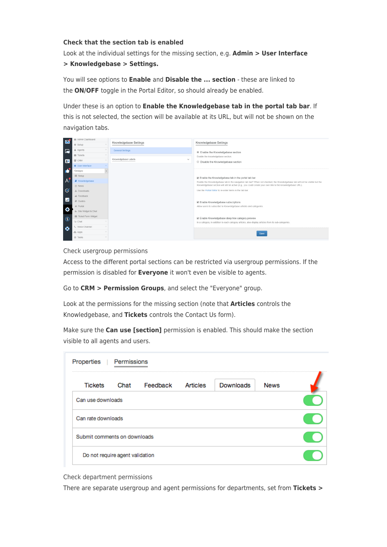# **Check that the section tab is enabled**

Look at the individual settings for the missing section, e.g. **Admin > User Interface > Knowledgebase > Settings.**

You will see options to **Enable** and **Disable the ... section** - these are linked to the **ON/OFF** toggle in the Portal Editor, so should already be enabled.

Under these is an option to **Enable the Knowledgebase tab in the portal tab bar**. If this is not selected, the section will be available at its URL, but will not be shown on the navigation tabs.



Check usergroup permissions

Access to the different portal sections can be restricted via usergroup permissions. If the permission is disabled for **Everyone** it won't even be visible to agents.

Go to **CRM > Permission Groups**, and select the "Everyone" group.

Look at the permissions for the missing section (note that **Articles** controls the Knowledgebase, and **Tickets** controls the Contact Us form).

Make sure the **Can use [section]** permission is enabled. This should make the section visible to all agents and users.

| <b>Tickets</b>               | Chat                            | Feedback | Articles | Downloads | <b>News</b> |  |
|------------------------------|---------------------------------|----------|----------|-----------|-------------|--|
| Can use downloads            |                                 |          |          |           |             |  |
| Can rate downloads           |                                 |          |          |           |             |  |
| Submit comments on downloads |                                 |          |          |           |             |  |
|                              | Do not require agent validation |          |          |           |             |  |

Check department permissions

There are separate usergroup and agent permissions for departments, set from **Tickets >**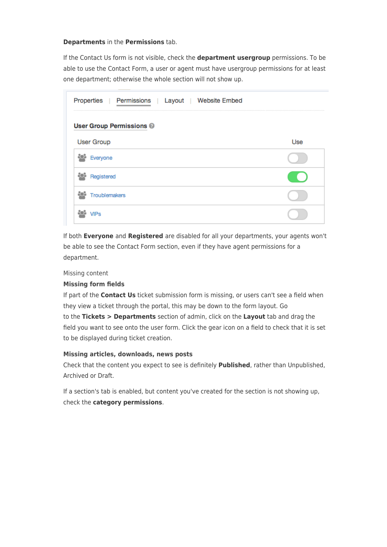#### **Departments** in the **Permissions** tab.

If the Contact Us form is not visible, check the **department usergroup** permissions. To be able to use the Contact Form, a user or agent must have usergroup permissions for at least one department; otherwise the whole section will not show up.

| Properties   Permissions   Layout   Website Embed |     |
|---------------------------------------------------|-----|
| <b>User Group Permissions @</b>                   |     |
| <b>User Group</b>                                 | Use |
| Everyone                                          |     |
| Registered                                        |     |
| <b>Troublemakers</b>                              |     |
|                                                   |     |

If both **Everyone** and **Registered** are disabled for all your departments, your agents won't be able to see the Contact Form section, even if they have agent permissions for a department.

#### Missing content

# **Missing form fields**

If part of the **Contact Us** ticket submission form is missing, or users can't see a field when they view a ticket through the portal, this may be down to the form layout. Go to the **Tickets > Departments** section of admin, click on the **Layout** tab and drag the field you want to see onto the user form. Click the gear icon on a field to check that it is set to be displayed during ticket creation.

# **Missing articles, downloads, news posts**

Check that the content you expect to see is definitely **Published**, rather than Unpublished, Archived or Draft.

If a section's tab is enabled, but content you've created for the section is not showing up, check the **category permissions**.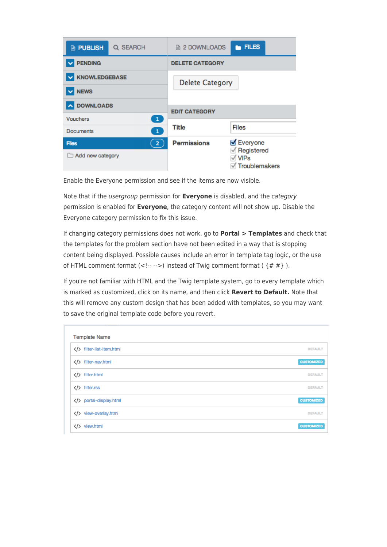| <b>PUBLISH</b>                      | Q SEARCH       | <b>■ 2 DOWNLOADS</b>   | <b>ELES</b>                                |  |
|-------------------------------------|----------------|------------------------|--------------------------------------------|--|
| <b>PENDING</b>                      |                | <b>DELETE CATEGORY</b> |                                            |  |
| <b>KNOWLEDGEBASE</b><br><b>NEWS</b> |                | <b>Delete Category</b> |                                            |  |
| <b>DOWNLOADS</b>                    |                | <b>EDIT CATEGORY</b>   |                                            |  |
| <b>Vouchers</b>                     | $\mathbf{1}$   |                        |                                            |  |
| <b>Documents</b>                    | $\mathbf \Phi$ | Title                  | <b>Files</b>                               |  |
| <b>Files</b>                        | $\mathbf{2}$   | <b>Permissions</b>     | <b>Ø</b> Everyone                          |  |
| Add new category                    |                |                        | Registered<br><b>VIPs</b><br>Troublemakers |  |

Enable the Everyone permission and see if the items are now visible.

Note that if the usergroup permission for **Everyone** is disabled, and the category permission is enabled for **Everyone**, the category content will not show up. Disable the Everyone category permission to fix this issue.

If changing category permissions does not work, go to **Portal > Templates** and check that the templates for the problem section have not been edited in a way that is stopping content being displayed. Possible causes include an error in template tag logic, or the use of HTML comment format  $(\langle -!--\rangle)$  instead of Twig comment format  $(\{ # # \})$ .

If you're not familiar with HTML and the Twig template system, go to every template which is marked as customized, click on its name, and then click **Revert to Default.** Note that this will remove any custom design that has been added with templates, so you may want to save the original template code before you revert.

| <b>Template Name</b>      |                   |
|---------------------------|-------------------|
| filter-list-item.html     | <b>DEFAULT</b>    |
| filter-nav.html           | <b>CUSTOMIZED</b> |
| filter.html               | <b>DEFAULT</b>    |
| $\langle$ /> filter.rss   | <b>DEFAULT</b>    |
| portal-display.html       | <b>CUSTOMIZED</b> |
| view-overlay.html         | <b>DEFAULT</b>    |
| view.html<br>$\langle$ /> | <b>CUSTOMIZED</b> |